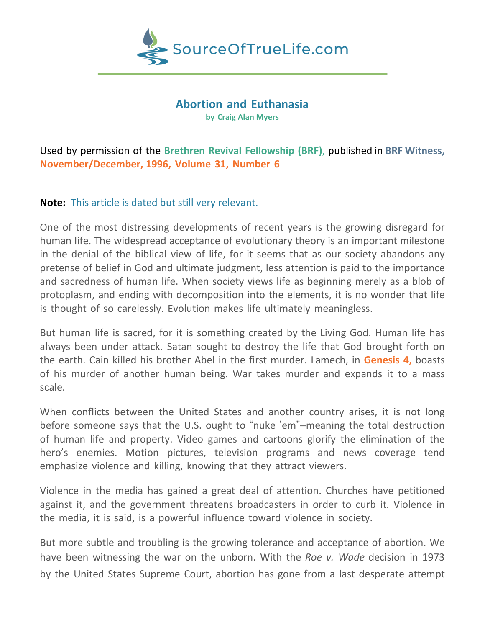

## **Abortion and Euthanasia**

**by Craig Alan Myers**

Used by permission of the **Brethren Revival Fellowship (BRF)**, published in **BRF Witness, November/December, 1996, Volume 31, Number 6**

## **Note:** This article is dated but still very relevant.

\_\_\_\_\_\_\_\_\_\_\_\_\_\_\_\_\_\_\_\_\_\_\_\_\_\_\_\_\_\_\_\_\_\_\_\_\_\_\_

One of the most distressing developments of recent years is the growing disregard for human life. The widespread acceptance of evolutionary theory is an important milestone in the denial of the biblical view of life, for it seems that as our society abandons any pretense of belief in God and ultimate judgment, less attention is paid to the importance and sacredness of human life. When society views life as beginning merely as a blob of protoplasm, and ending with decomposition into the elements, it is no wonder that life is thought of so carelessly. Evolution makes life ultimately meaningless.

But human life is sacred, for it is something created by the Living God. Human life has always been under attack. Satan sought to destroy the life that God brought forth on the earth. Cain killed his brother Abel in the first murder. Lamech, in **Genesis 4,** boasts of his murder of another human being. War takes murder and expands it to a mass scale.

When conflicts between the United States and another country arises, it is not long before someone says that the U.S. ought to "nuke 'em"–meaning the total destruction of human life and property. Video games and cartoons glorify the elimination of the hero's enemies. Motion pictures, television programs and news coverage tend emphasize violence and killing, knowing that they attract viewers.

Violence in the media has gained a great deal of attention. Churches have petitioned against it, and the government threatens broadcasters in order to curb it. Violence in the media, it is said, is a powerful influence toward violence in society.

But more subtle and troubling is the growing tolerance and acceptance of abortion. We have been witnessing the war on the unborn. With the *Roe v. Wade* decision in 1973 by the United States Supreme Court, abortion has gone from a last desperate attempt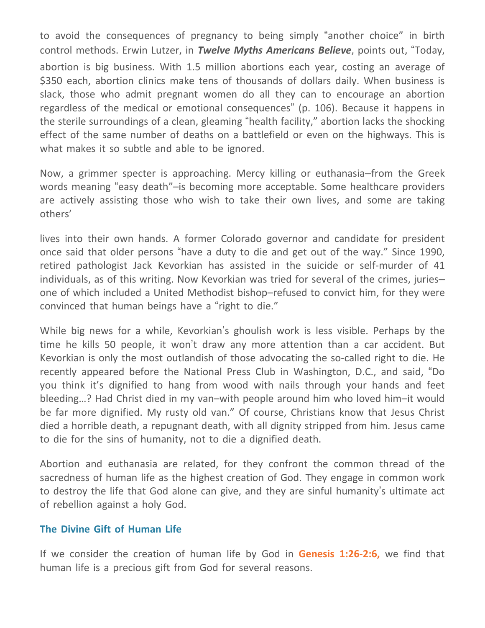to avoid the consequences of pregnancy to being simply "another choice" in birth control methods. Erwin Lutzer, in *Twelve Myths Americans Believe*, points out, "Today, abortion is big business. With 1.5 million abortions each year, costing an average of \$350 each, abortion clinics make tens of thousands of dollars daily. When business is slack, those who admit pregnant women do all they can to encourage an abortion regardless of the medical or emotional consequences" (p. 106). Because it happens in the sterile surroundings of a clean, gleaming "health facility," abortion lacks the shocking effect of the same number of deaths on a battlefield or even on the highways. This is what makes it so subtle and able to be ignored.

Now, a grimmer specter is approaching. Mercy killing or euthanasia–from the Greek words meaning "easy death"–is becoming more acceptable. Some healthcare providers are actively assisting those who wish to take their own lives, and some are taking others'

lives into their own hands. A former Colorado governor and candidate for president once said that older persons "have a duty to die and get out of the way." Since 1990, retired pathologist Jack Kevorkian has assisted in the suicide or self-murder of 41 individuals, as of this writing. Now Kevorkian was tried for several of the crimes, juries– one of which included a United Methodist bishop–refused to convict him, for they were convinced that human beings have a "right to die."

While big news for a while, Kevorkian's ghoulish work is less visible. Perhaps by the time he kills 50 people, it won't draw any more attention than a car accident. But Kevorkian is only the most outlandish of those advocating the so-called right to die. He recently appeared before the National Press Club in Washington, D.C., and said, "Do you think it's dignified to hang from wood with nails through your hands and feet bleeding…? Had Christ died in my van–with people around him who loved him–it would be far more dignified. My rusty old van." Of course, Christians know that Jesus Christ died a horrible death, a repugnant death, with all dignity stripped from him. Jesus came to die for the sins of humanity, not to die a dignified death.

Abortion and euthanasia are related, for they confront the common thread of the sacredness of human life as the highest creation of God. They engage in common work to destroy the life that God alone can give, and they are sinful humanity's ultimate act of rebellion against a holy God.

## **The Divine Gift of Human Life**

If we consider the creation of human life by God in **Genesis 1:26-2:6,** we find that human life is a precious gift from God for several reasons.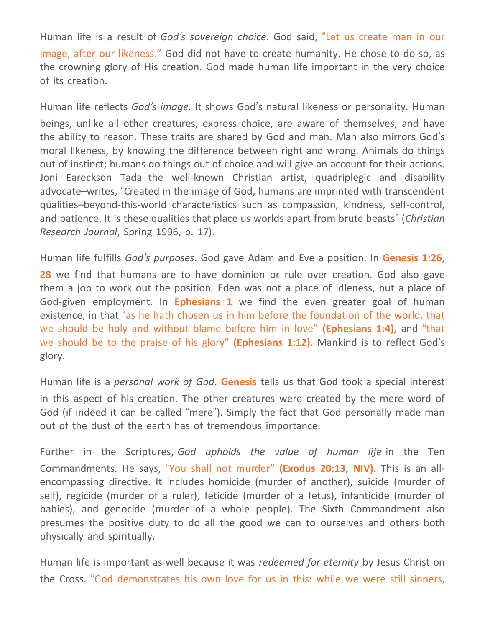Human life is a result of *God's sovereign choice*. God said, "Let us create man in our image, after our likeness." God did not have to create humanity. He chose to do so, as the crowning glory of His creation. God made human life important in the very choice of its creation.

Human life reflects *God's image*. It shows God's natural likeness or personality. Human beings, unlike all other creatures, express choice, are aware of themselves, and have the ability to reason. These traits are shared by God and man. Man also mirrors God's moral likeness, by knowing the difference between right and wrong. Animals do things out of instinct; humans do things out of choice and will give an account for their actions. Joni Eareckson Tada–the well-known Christian artist, quadriplegic and disability advocate–writes, "Created in the image of God, humans are imprinted with transcendent qualities–beyond-this-world characteristics such as compassion, kindness, self-control, and patience. It is these qualities that place us worlds apart from brute beasts" (*Christian Research Journal*, Spring 1996, p. 17).

Human life fulfills *God's purposes*. God gave Adam and Eve a position. In **Genesis 1:26, 28** we find that humans are to have dominion or rule over creation. God also gave them a job to work out the position. Eden was not a place of idleness, but a place of God-given employment. In **Ephesians 1** we find the even greater goal of human existence, in that "as he hath chosen us in him before the foundation of the world, that we should be holy and without blame before him in love" **(Ephesians 1:4),** and "that we should be to the praise of his glory" **(Ephesians 1:12).** Mankind is to reflect God's glory.

Human life is a *personal work of God*. **Genesis** tells us that God took a special interest in this aspect of his creation. The other creatures were created by the mere word of God (if indeed it can be called "mere"). Simply the fact that God personally made man out of the dust of the earth has of tremendous importance.

Further in the Scriptures, *God upholds the value of human life* in the Ten Commandments. He says, "You shall not murder" **(Exodus 20:13, NIV).** This is an allencompassing directive. It includes homicide (murder of another), suicide (murder of self), regicide (murder of a ruler), feticide (murder of a fetus), infanticide (murder of babies), and genocide (murder of a whole people). The Sixth Commandment also presumes the positive duty to do all the good we can to ourselves and others both physically and spiritually.

Human life is important as well because it was *redeemed for eternity* by Jesus Christ on the Cross. "God demonstrates his own love for us in this: while we were still sinners,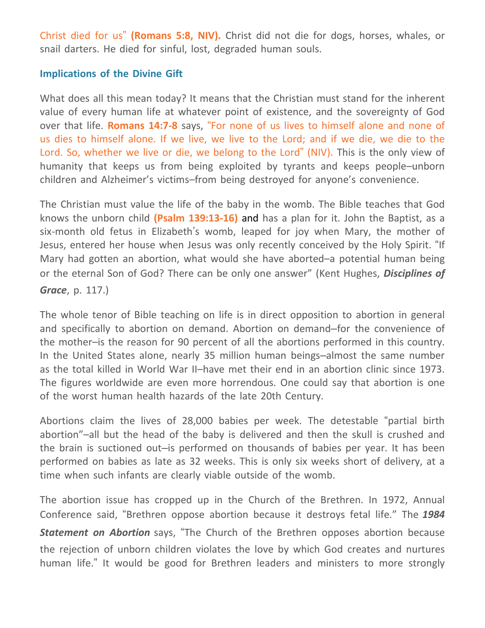Christ died for us" **(Romans 5:8, NIV).** Christ did not die for dogs, horses, whales, or snail darters. He died for sinful, lost, degraded human souls.

## **Implications of the Divine Gift**

What does all this mean today? It means that the Christian must stand for the inherent value of every human life at whatever point of existence, and the sovereignty of God over that life. **Romans 14:7-8** says, "For none of us lives to himself alone and none of us dies to himself alone. If we live, we live to the Lord; and if we die, we die to the Lord. So, whether we live or die, we belong to the Lord" (NIV). This is the only view of humanity that keeps us from being exploited by tyrants and keeps people–unborn children and Alzheimer's victims–from being destroyed for anyone's convenience.

The Christian must value the life of the baby in the womb. The Bible teaches that God knows the unborn child **(Psalm 139:13-16)** and has a plan for it. John the Baptist, as a six-month old fetus in Elizabeth's womb, leaped for joy when Mary, the mother of Jesus, entered her house when Jesus was only recently conceived by the Holy Spirit. "If Mary had gotten an abortion, what would she have aborted–a potential human being or the eternal Son of God? There can be only one answer" (Kent Hughes, *Disciplines of Grace*, p. 117.)

The whole tenor of Bible teaching on life is in direct opposition to abortion in general and specifically to abortion on demand. Abortion on demand–for the convenience of the mother–is the reason for 90 percent of all the abortions performed in this country. In the United States alone, nearly 35 million human beings–almost the same number as the total killed in World War II–have met their end in an abortion clinic since 1973. The figures worldwide are even more horrendous. One could say that abortion is one of the worst human health hazards of the late 20th Century.

Abortions claim the lives of 28,000 babies per week. The detestable "partial birth abortion"–all but the head of the baby is delivered and then the skull is crushed and the brain is suctioned out–is performed on thousands of babies per year. It has been performed on babies as late as 32 weeks. This is only six weeks short of delivery, at a time when such infants are clearly viable outside of the womb.

The abortion issue has cropped up in the Church of the Brethren. In 1972, Annual Conference said, "Brethren oppose abortion because it destroys fetal life." The *1984 Statement on Abortion* says, "The Church of the Brethren opposes abortion because the rejection of unborn children violates the love by which God creates and nurtures

human life." It would be good for Brethren leaders and ministers to more strongly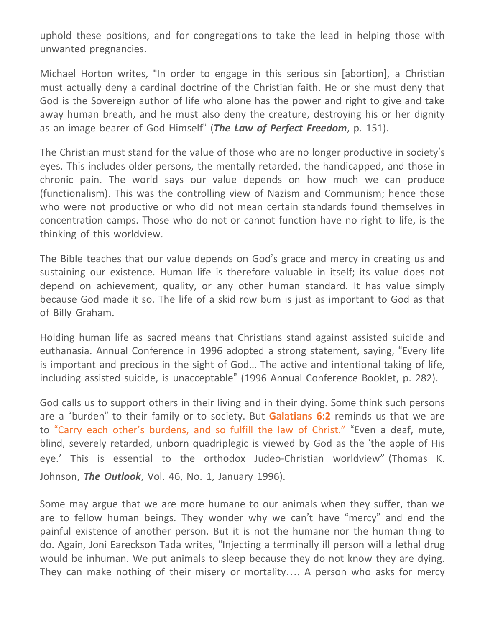uphold these positions, and for congregations to take the lead in helping those with unwanted pregnancies.

Michael Horton writes, "In order to engage in this serious sin [abortion], a Christian must actually deny a cardinal doctrine of the Christian faith. He or she must deny that God is the Sovereign author of life who alone has the power and right to give and take away human breath, and he must also deny the creature, destroying his or her dignity as an image bearer of God Himself" (*The Law of Perfect Freedom*, p. 151).

The Christian must stand for the value of those who are no longer productive in society's eyes. This includes older persons, the mentally retarded, the handicapped, and those in chronic pain. The world says our value depends on how much we can produce (functionalism). This was the controlling view of Nazism and Communism; hence those who were not productive or who did not mean certain standards found themselves in concentration camps. Those who do not or cannot function have no right to life, is the thinking of this worldview.

The Bible teaches that our value depends on God's grace and mercy in creating us and sustaining our existence. Human life is therefore valuable in itself; its value does not depend on achievement, quality, or any other human standard. It has value simply because God made it so. The life of a skid row bum is just as important to God as that of Billy Graham.

Holding human life as sacred means that Christians stand against assisted suicide and euthanasia. Annual Conference in 1996 adopted a strong statement, saying, "Every life is important and precious in the sight of God… The active and intentional taking of life, including assisted suicide, is unacceptable" (1996 Annual Conference Booklet, p. 282).

God calls us to support others in their living and in their dying. Some think such persons are a "burden" to their family or to society. But **Galatians 6:2** reminds us that we are to "Carry each other's burdens, and so fulfill the law of Christ." "Even a deaf, mute, blind, severely retarded, unborn quadriplegic is viewed by God as the 'the apple of His eye.' This is essential to the orthodox Judeo-Christian worldview" (Thomas K. Johnson, *The Outlook*, Vol. 46, No. 1, January 1996).

Some may argue that we are more humane to our animals when they suffer, than we are to fellow human beings. They wonder why we can't have "mercy" and end the painful existence of another person. But it is not the humane nor the human thing to do. Again, Joni Eareckson Tada writes, "Injecting a terminally ill person will a lethal drug would be inhuman. We put animals to sleep because they do not know they are dying. They can make nothing of their misery or mortality…. A person who asks for mercy